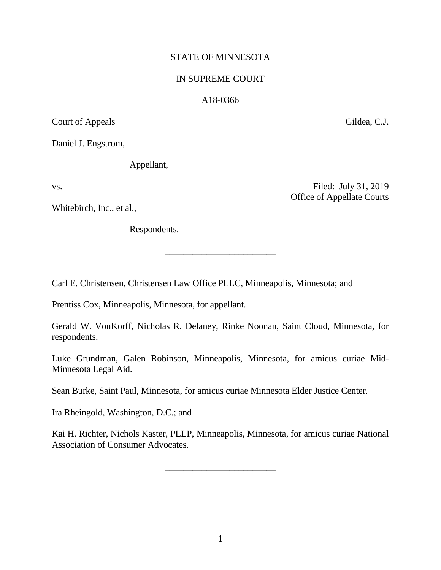# STATE OF MINNESOTA

## IN SUPREME COURT

## A18-0366

Court of Appeals Gildea, C.J.

Daniel J. Engstrom,

Appellant,

Whitebirch, Inc., et al.,

Respondents.

Carl E. Christensen, Christensen Law Office PLLC, Minneapolis, Minnesota; and

Prentiss Cox, Minneapolis, Minnesota, for appellant.

Gerald W. VonKorff, Nicholas R. Delaney, Rinke Noonan, Saint Cloud, Minnesota, for respondents.

**\_\_\_\_\_\_\_\_\_\_\_\_\_\_\_\_\_\_\_\_\_\_\_\_**

Luke Grundman, Galen Robinson, Minneapolis, Minnesota, for amicus curiae Mid-Minnesota Legal Aid.

Sean Burke, Saint Paul, Minnesota, for amicus curiae Minnesota Elder Justice Center.

Ira Rheingold, Washington, D.C.; and

Kai H. Richter, Nichols Kaster, PLLP, Minneapolis, Minnesota, for amicus curiae National Association of Consumer Advocates.

**\_\_\_\_\_\_\_\_\_\_\_\_\_\_\_\_\_\_\_\_\_\_\_\_**

vs. Filed: July 31, 2019 Office of Appellate Courts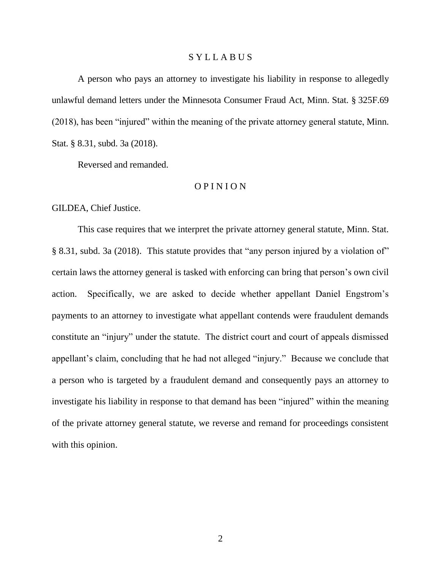### S Y L L A B U S

A person who pays an attorney to investigate his liability in response to allegedly unlawful demand letters under the Minnesota Consumer Fraud Act, Minn. Stat. § 325F.69 (2018), has been "injured" within the meaning of the private attorney general statute, Minn. Stat. § 8.31, subd. 3a (2018).

Reversed and remanded.

# O P I N I O N

GILDEA, Chief Justice.

This case requires that we interpret the private attorney general statute, Minn. Stat. § 8.31, subd. 3a (2018). This statute provides that "any person injured by a violation of" certain laws the attorney general is tasked with enforcing can bring that person's own civil action. Specifically, we are asked to decide whether appellant Daniel Engstrom's payments to an attorney to investigate what appellant contends were fraudulent demands constitute an "injury" under the statute. The district court and court of appeals dismissed appellant's claim, concluding that he had not alleged "injury." Because we conclude that a person who is targeted by a fraudulent demand and consequently pays an attorney to investigate his liability in response to that demand has been "injured" within the meaning of the private attorney general statute, we reverse and remand for proceedings consistent with this opinion.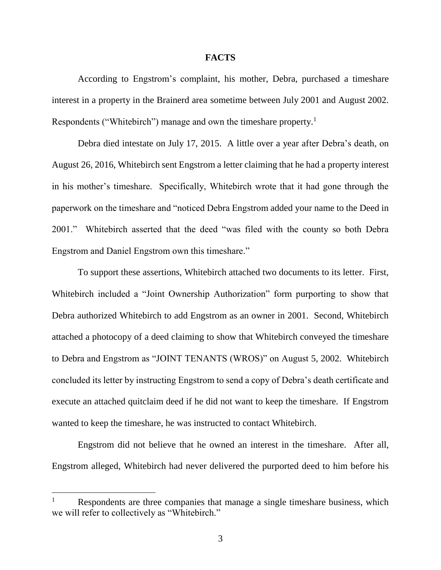#### **FACTS**

According to Engstrom's complaint, his mother, Debra, purchased a timeshare interest in a property in the Brainerd area sometime between July 2001 and August 2002. Respondents ("Whitebirch") manage and own the timeshare property.<sup>1</sup>

Debra died intestate on July 17, 2015. A little over a year after Debra's death, on August 26, 2016, Whitebirch sent Engstrom a letter claiming that he had a property interest in his mother's timeshare. Specifically, Whitebirch wrote that it had gone through the paperwork on the timeshare and "noticed Debra Engstrom added your name to the Deed in 2001." Whitebirch asserted that the deed "was filed with the county so both Debra Engstrom and Daniel Engstrom own this timeshare."

To support these assertions, Whitebirch attached two documents to its letter. First, Whitebirch included a "Joint Ownership Authorization" form purporting to show that Debra authorized Whitebirch to add Engstrom as an owner in 2001. Second, Whitebirch attached a photocopy of a deed claiming to show that Whitebirch conveyed the timeshare to Debra and Engstrom as "JOINT TENANTS (WROS)" on August 5, 2002. Whitebirch concluded its letter by instructing Engstrom to send a copy of Debra's death certificate and execute an attached quitclaim deed if he did not want to keep the timeshare. If Engstrom wanted to keep the timeshare, he was instructed to contact Whitebirch.

Engstrom did not believe that he owned an interest in the timeshare. After all, Engstrom alleged, Whitebirch had never delivered the purported deed to him before his

Respondents are three companies that manage a single timeshare business, which we will refer to collectively as "Whitebirch."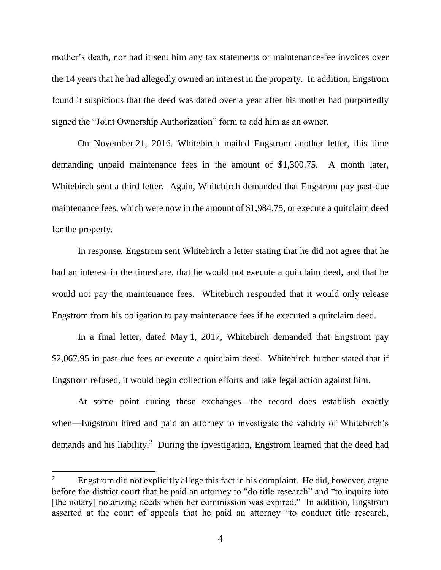mother's death, nor had it sent him any tax statements or maintenance-fee invoices over the 14 years that he had allegedly owned an interest in the property. In addition, Engstrom found it suspicious that the deed was dated over a year after his mother had purportedly signed the "Joint Ownership Authorization" form to add him as an owner.

On November 21, 2016, Whitebirch mailed Engstrom another letter, this time demanding unpaid maintenance fees in the amount of \$1,300.75. A month later, Whitebirch sent a third letter. Again, Whitebirch demanded that Engstrom pay past-due maintenance fees, which were now in the amount of \$1,984.75, or execute a quitclaim deed for the property.

In response, Engstrom sent Whitebirch a letter stating that he did not agree that he had an interest in the timeshare, that he would not execute a quitclaim deed, and that he would not pay the maintenance fees. Whitebirch responded that it would only release Engstrom from his obligation to pay maintenance fees if he executed a quitclaim deed.

In a final letter, dated May 1, 2017, Whitebirch demanded that Engstrom pay \$2,067.95 in past-due fees or execute a quitclaim deed. Whitebirch further stated that if Engstrom refused, it would begin collection efforts and take legal action against him.

At some point during these exchanges—the record does establish exactly when—Engstrom hired and paid an attorney to investigate the validity of Whitebirch's demands and his liability.<sup>2</sup> During the investigation, Engstrom learned that the deed had

<sup>&</sup>lt;sup>2</sup> Engstrom did not explicitly allege this fact in his complaint. He did, however, argue before the district court that he paid an attorney to "do title research" and "to inquire into [the notary] notarizing deeds when her commission was expired." In addition, Engstrom asserted at the court of appeals that he paid an attorney "to conduct title research,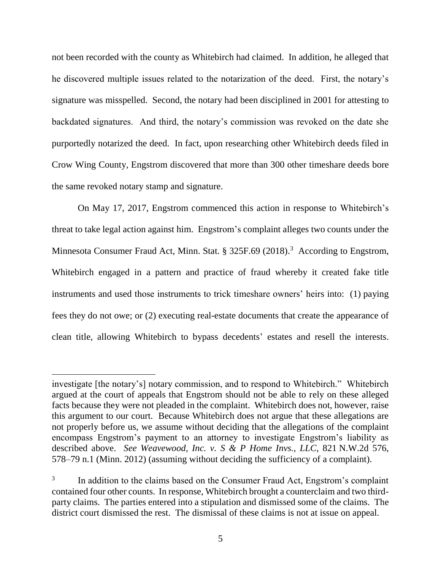not been recorded with the county as Whitebirch had claimed. In addition, he alleged that he discovered multiple issues related to the notarization of the deed. First, the notary's signature was misspelled. Second, the notary had been disciplined in 2001 for attesting to backdated signatures. And third, the notary's commission was revoked on the date she purportedly notarized the deed. In fact, upon researching other Whitebirch deeds filed in Crow Wing County, Engstrom discovered that more than 300 other timeshare deeds bore the same revoked notary stamp and signature.

On May 17, 2017, Engstrom commenced this action in response to Whitebirch's threat to take legal action against him. Engstrom's complaint alleges two counts under the Minnesota Consumer Fraud Act, Minn. Stat. § 325F.69 (2018).<sup>3</sup> According to Engstrom, Whitebirch engaged in a pattern and practice of fraud whereby it created fake title instruments and used those instruments to trick timeshare owners' heirs into: (1) paying fees they do not owe; or (2) executing real-estate documents that create the appearance of clean title, allowing Whitebirch to bypass decedents' estates and resell the interests.

investigate [the notary's] notary commission, and to respond to Whitebirch." Whitebirch argued at the court of appeals that Engstrom should not be able to rely on these alleged facts because they were not pleaded in the complaint. Whitebirch does not, however, raise this argument to our court. Because Whitebirch does not argue that these allegations are not properly before us, we assume without deciding that the allegations of the complaint encompass Engstrom's payment to an attorney to investigate Engstrom's liability as described above. *See Weavewood, Inc. v. S & P Home Invs., LLC*, 821 N.W.2d 576, 578–79 n.1 (Minn. 2012) (assuming without deciding the sufficiency of a complaint).

<sup>3</sup> In addition to the claims based on the Consumer Fraud Act, Engstrom's complaint contained four other counts. In response, Whitebirch brought a counterclaim and two thirdparty claims. The parties entered into a stipulation and dismissed some of the claims. The district court dismissed the rest. The dismissal of these claims is not at issue on appeal.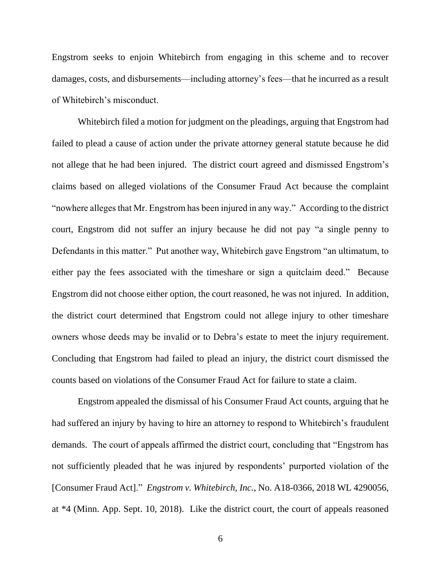Engstrom seeks to enjoin Whitebirch from engaging in this scheme and to recover damages, costs, and disbursements—including attorney's fees—that he incurred as a result of Whitebirch's misconduct.

Whitebirch filed a motion for judgment on the pleadings, arguing that Engstrom had failed to plead a cause of action under the private attorney general statute because he did not allege that he had been injured. The district court agreed and dismissed Engstrom's claims based on alleged violations of the Consumer Fraud Act because the complaint "nowhere alleges that Mr. Engstrom has been injured in any way." According to the district court, Engstrom did not suffer an injury because he did not pay "a single penny to Defendants in this matter." Put another way, Whitebirch gave Engstrom "an ultimatum, to either pay the fees associated with the timeshare or sign a quitclaim deed." Because Engstrom did not choose either option, the court reasoned, he was not injured. In addition, the district court determined that Engstrom could not allege injury to other timeshare owners whose deeds may be invalid or to Debra's estate to meet the injury requirement. Concluding that Engstrom had failed to plead an injury, the district court dismissed the counts based on violations of the Consumer Fraud Act for failure to state a claim.

Engstrom appealed the dismissal of his Consumer Fraud Act counts, arguing that he had suffered an injury by having to hire an attorney to respond to Whitebirch's fraudulent demands. The court of appeals affirmed the district court, concluding that "Engstrom has not sufficiently pleaded that he was injured by respondents' purported violation of the [Consumer Fraud Act]." *Engstrom v. Whitebirch, Inc.*, No. A18-0366, 2018 WL 4290056, at \*4 (Minn. App. Sept. 10, 2018).Like the district court, the court of appeals reasoned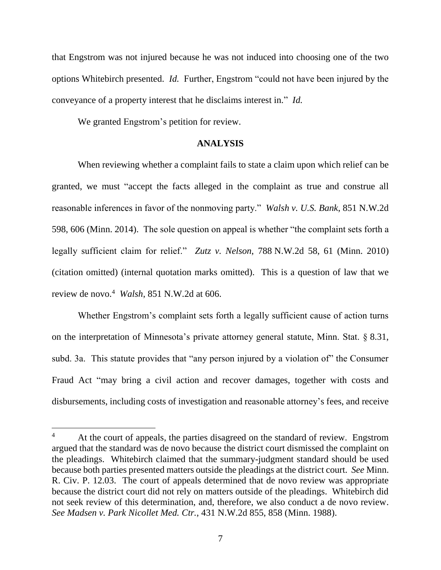that Engstrom was not injured because he was not induced into choosing one of the two options Whitebirch presented.*Id.* Further, Engstrom "could not have been injured by the conveyance of a property interest that he disclaims interest in." *Id.*

We granted Engstrom's petition for review.

l

## **ANALYSIS**

When reviewing whether a complaint fails to state a claim upon which relief can be granted, we must "accept the facts alleged in the complaint as true and construe all reasonable inferences in favor of the nonmoving party." *Walsh v. U.S. Bank*, 851 N.W.2d 598, 606 (Minn. 2014). The sole question on appeal is whether "the complaint sets forth a legally sufficient claim for relief." *Zutz v. Nelson*, 788 N.W.2d 58, 61 (Minn. 2010) (citation omitted) (internal quotation marks omitted). This is a question of law that we review de novo. 4 *Walsh*, 851 N.W.2d at 606.

Whether Engstrom's complaint sets forth a legally sufficient cause of action turns on the interpretation of Minnesota's private attorney general statute, Minn. Stat. § 8.31, subd. 3a. This statute provides that "any person injured by a violation of" the Consumer Fraud Act "may bring a civil action and recover damages, together with costs and disbursements, including costs of investigation and reasonable attorney's fees, and receive

<sup>&</sup>lt;sup>4</sup> At the court of appeals, the parties disagreed on the standard of review. Engstrom argued that the standard was de novo because the district court dismissed the complaint on the pleadings. Whitebirch claimed that the summary-judgment standard should be used because both parties presented matters outside the pleadings at the district court. *See* Minn. R. Civ. P. 12.03. The court of appeals determined that de novo review was appropriate because the district court did not rely on matters outside of the pleadings. Whitebirch did not seek review of this determination, and, therefore, we also conduct a de novo review. *See Madsen v. Park Nicollet Med. Ctr.*, 431 N.W.2d 855, 858 (Minn. 1988).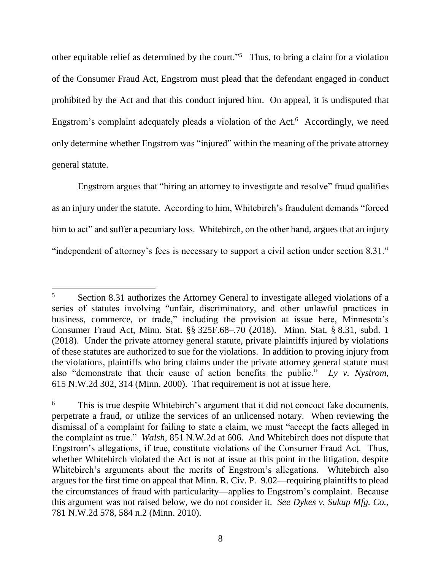other equitable relief as determined by the court."<sup>5</sup> Thus, to bring a claim for a violation of the Consumer Fraud Act, Engstrom must plead that the defendant engaged in conduct prohibited by the Act and that this conduct injured him. On appeal, it is undisputed that Engstrom's complaint adequately pleads a violation of the Act.<sup>6</sup> Accordingly, we need only determine whether Engstrom was "injured" within the meaning of the private attorney general statute.

Engstrom argues that "hiring an attorney to investigate and resolve" fraud qualifies as an injury under the statute. According to him, Whitebirch's fraudulent demands "forced him to act" and suffer a pecuniary loss. Whitebirch, on the other hand, argues that an injury "independent of attorney's fees is necessary to support a civil action under section 8.31."

<sup>5</sup> Section 8.31 authorizes the Attorney General to investigate alleged violations of a series of statutes involving "unfair, discriminatory, and other unlawful practices in business, commerce, or trade," including the provision at issue here, Minnesota's Consumer Fraud Act, Minn. Stat. §§ 325F.68–.70 (2018). Minn. Stat. § 8.31, subd. 1 (2018). Under the private attorney general statute, private plaintiffs injured by violations of these statutes are authorized to sue for the violations. In addition to proving injury from the violations, plaintiffs who bring claims under the private attorney general statute must also "demonstrate that their cause of action benefits the public." *Ly v. Nystrom*, 615 N.W.2d 302, 314 (Minn. 2000). That requirement is not at issue here.

<sup>&</sup>lt;sup>6</sup> This is true despite Whitebirch's argument that it did not concoct fake documents, perpetrate a fraud, or utilize the services of an unlicensed notary. When reviewing the dismissal of a complaint for failing to state a claim, we must "accept the facts alleged in the complaint as true." *Walsh*, 851 N.W.2d at 606. And Whitebirch does not dispute that Engstrom's allegations, if true, constitute violations of the Consumer Fraud Act. Thus, whether Whitebirch violated the Act is not at issue at this point in the litigation, despite Whitebirch's arguments about the merits of Engstrom's allegations. Whitebirch also argues for the first time on appeal that Minn. R. Civ. P. 9.02—requiring plaintiffs to plead the circumstances of fraud with particularity—applies to Engstrom's complaint. Because this argument was not raised below, we do not consider it. *See Dykes v. Sukup Mfg. Co.*, 781 N.W.2d 578, 584 n.2 (Minn. 2010).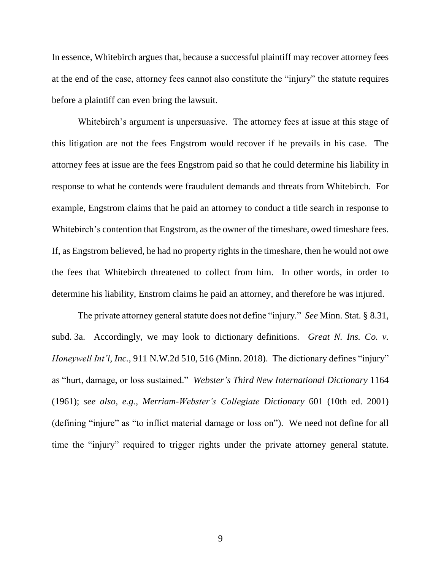In essence, Whitebirch argues that, because a successful plaintiff may recover attorney fees at the end of the case, attorney fees cannot also constitute the "injury" the statute requires before a plaintiff can even bring the lawsuit.

Whitebirch's argument is unpersuasive. The attorney fees at issue at this stage of this litigation are not the fees Engstrom would recover if he prevails in his case. The attorney fees at issue are the fees Engstrom paid so that he could determine his liability in response to what he contends were fraudulent demands and threats from Whitebirch. For example, Engstrom claims that he paid an attorney to conduct a title search in response to Whitebirch's contention that Engstrom, as the owner of the timeshare, owed timeshare fees. If, as Engstrom believed, he had no property rights in the timeshare, then he would not owe the fees that Whitebirch threatened to collect from him. In other words, in order to determine his liability, Enstrom claims he paid an attorney, and therefore he was injured.

The private attorney general statute does not define "injury." *See* Minn. Stat. § 8.31, subd. 3a. Accordingly, we may look to dictionary definitions. *Great N. Ins. Co. v. Honeywell Int'l, Inc.*, 911 N.W.2d 510, 516 (Minn. 2018). The dictionary defines "injury" as "hurt, damage, or loss sustained." *Webster's Third New International Dictionary* 1164 (1961); *see also, e.g.*, *Merriam-Webster's Collegiate Dictionary* 601 (10th ed. 2001) (defining "injure" as "to inflict material damage or loss on"). We need not define for all time the "injury" required to trigger rights under the private attorney general statute.